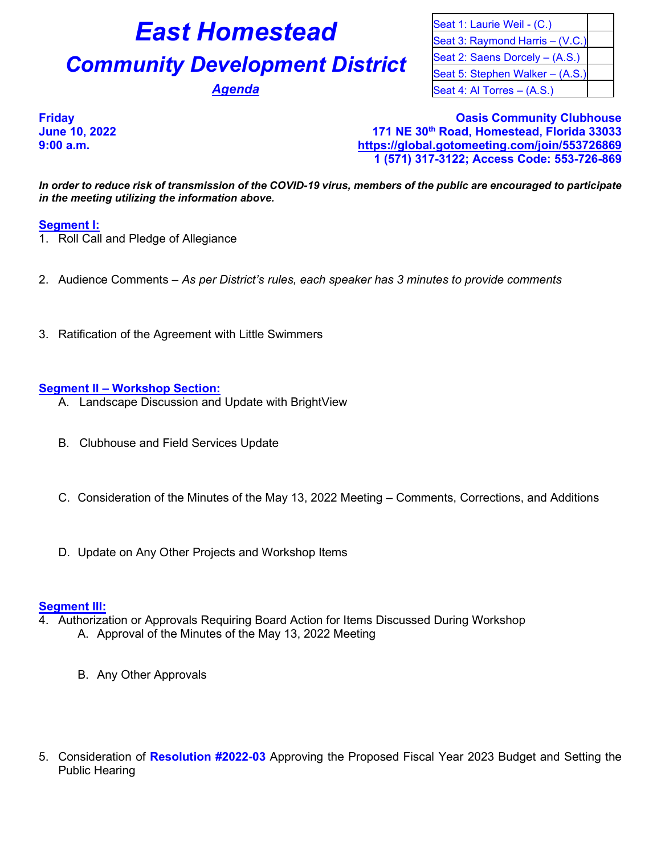# **East Homestead** Seat 1: Laurie Weil - (C.)

# **Community Development District** Seat 2: Saens Dorcely – (A.S.)

Seat 3: Raymond Harris – (V.C.) Seat 5: Stephen Walker – (A.S.) **Agenda** Seat 4: Al Torres – (A.S.)

### **Friday Oasis Community Clubhouse June 10, 2022 171 NE 30th Road, Homestead, Florida 33033 9:00 a.m. <https://global.gotomeeting.com/join/553726869> 1 (571) 317-3122; Access Code: 553-726-869**

*In order to reduce risk of transmission of the COVID-19 virus, members of the public are encouraged to participate in the meeting utilizing the information above.*

## **Segment I:**

- 1. Roll Call and Pledge of Allegiance
- 2. Audience Comments *As per District's rules, each speaker has 3 minutes to provide comments*
- 3. Ratification of the Agreement with Little Swimmers

#### **Segment II – Workshop Section:**

- A. Landscape Discussion and Update with BrightView
- B. Clubhouse and Field Services Update
- C. Consideration of the Minutes of the May 13, 2022 Meeting Comments, Corrections, and Additions
- D. Update on Any Other Projects and Workshop Items

### **Segment III:**

- 4. Authorization or Approvals Requiring Board Action for Items Discussed During Workshop A. Approval of the Minutes of the May 13, 2022 Meeting
	- B. Any Other Approvals
- 5. Consideration of **Resolution #2022-03** Approving the Proposed Fiscal Year 2023 Budget and Setting the Public Hearing